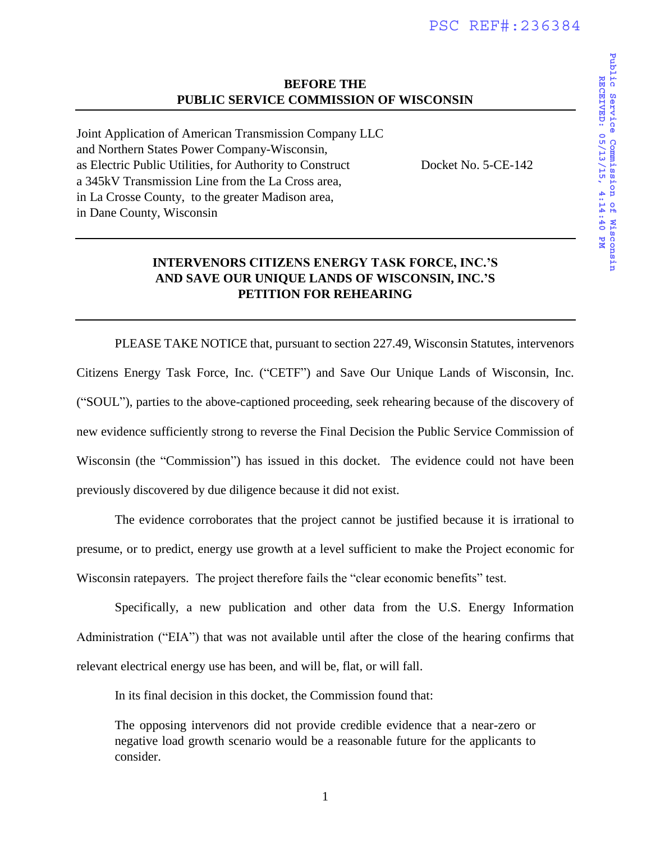### **BEFORE THE PUBLIC SERVICE COMMISSION OF WISCONSIN**

Joint Application of American Transmission Company LLC and Northern States Power Company-Wisconsin, as Electric Public Utilities, for Authority to Construct Docket No. 5-CE-142 a 345kV Transmission Line from the La Cross area, in La Crosse County, to the greater Madison area, in Dane County, Wisconsin

### **INTERVENORS CITIZENS ENERGY TASK FORCE, INC.'S AND SAVE OUR UNIQUE LANDS OF WISCONSIN, INC.'S PETITION FOR REHEARING**

PLEASE TAKE NOTICE that, pursuant to section 227.49, Wisconsin Statutes, intervenors Citizens Energy Task Force, Inc. ("CETF") and Save Our Unique Lands of Wisconsin, Inc. ("SOUL"), parties to the above-captioned proceeding, seek rehearing because of the discovery of new evidence sufficiently strong to reverse the Final Decision the Public Service Commission of Wisconsin (the "Commission") has issued in this docket. The evidence could not have been previously discovered by due diligence because it did not exist.

 The evidence corroborates that the project cannot be justified because it is irrational to presume, or to predict, energy use growth at a level sufficient to make the Project economic for Wisconsin ratepayers. The project therefore fails the "clear economic benefits" test.

 Specifically, a new publication and other data from the U.S. Energy Information Administration ("EIA") that was not available until after the close of the hearing confirms that relevant electrical energy use has been, and will be, flat, or will fall.

In its final decision in this docket, the Commission found that:

The opposing intervenors did not provide credible evidence that a near-zero or negative load growth scenario would be a reasonable future for the applicants to consider.

**RECEIVED: 05/13/15, 4:14:40 PM**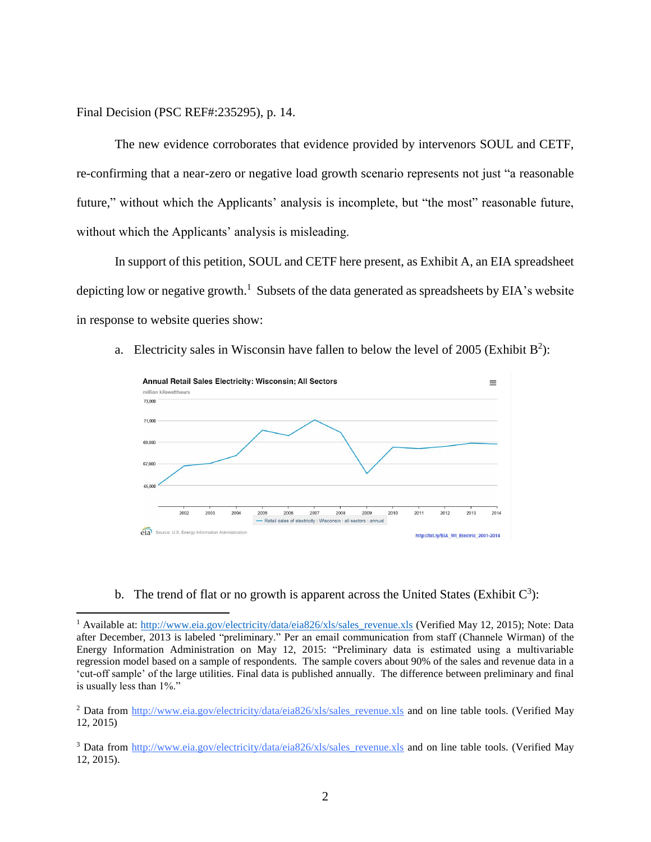Final Decision (PSC REF#:235295), p. 14.

l

The new evidence corroborates that evidence provided by intervenors SOUL and CETF, re-confirming that a near-zero or negative load growth scenario represents not just "a reasonable future," without which the Applicants' analysis is incomplete, but "the most" reasonable future, without which the Applicants' analysis is misleading.

In support of this petition, SOUL and CETF here present, as Exhibit A, an EIA spreadsheet depicting low or negative growth.<sup>1</sup> Subsets of the data generated as spreadsheets by EIA's website in response to website queries show:

a. Electricity sales in Wisconsin have fallen to below the level of 2005 (Exhibit  $B^2$ ):



b. The trend of flat or no growth is apparent across the United States (Exhibit  $C^3$ ):

<sup>&</sup>lt;sup>1</sup> Available at: [http://www.eia.gov/electricity/data/eia826/xls/sales\\_revenue.xls](http://www.eia.gov/electricity/data/eia826/xls/sales_revenue.xls) (Verified May 12, 2015); Note: Data after December, 2013 is labeled "preliminary." Per an email communication from staff (Channele Wirman) of the Energy Information Administration on May 12, 2015: "Preliminary data is estimated using a multivariable regression model based on a sample of respondents. The sample covers about 90% of the sales and revenue data in a 'cut-off sample' of the large utilities. Final data is published annually. The difference between preliminary and final is usually less than 1%."

<sup>&</sup>lt;sup>2</sup> Data from [http://www.eia.gov/electricity/data/eia826/xls/sales\\_revenue.xls](http://www.eia.gov/electricity/data/eia826/xls/sales_revenue.xls) and on line table tools. (Verified May 12, 2015)

<sup>&</sup>lt;sup>3</sup> Data from [http://www.eia.gov/electricity/data/eia826/xls/sales\\_revenue.xls](http://www.eia.gov/electricity/data/eia826/xls/sales_revenue.xls) and on line table tools. (Verified May 12, 2015).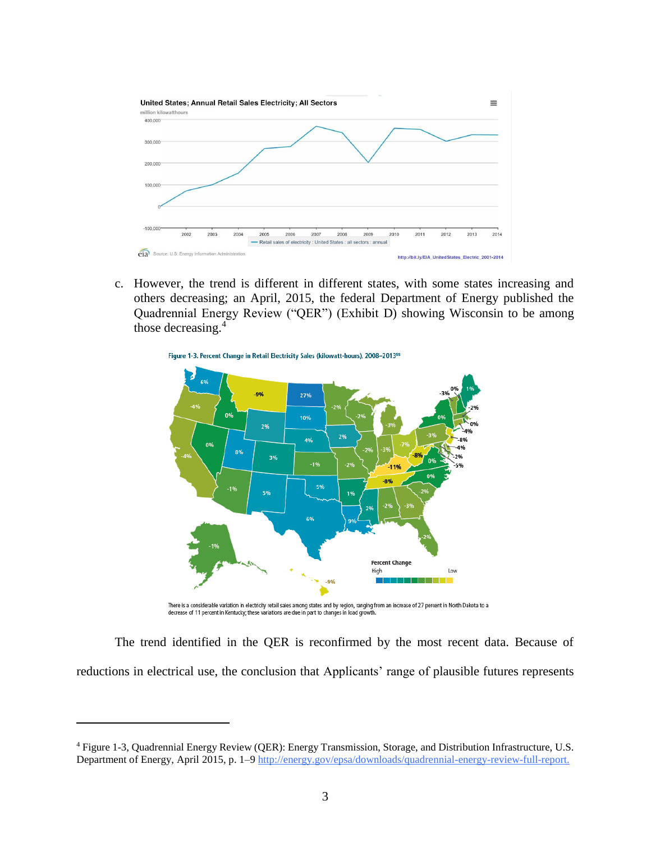

c. However, the trend is different in different states, with some states increasing and others decreasing; an April, 2015, the federal Department of Energy published the Quadrennial Energy Review ("QER") (Exhibit D) showing Wisconsin to be among those decreasing. 4



There is a considerable variation in electricity retail sales among states and by region, ranging from an increase of 27 percent in North Dakota to a<br>decrease of 11 percent in Kentucky; these variations are due in part to

The trend identified in the QER is reconfirmed by the most recent data. Because of reductions in electrical use, the conclusion that Applicants' range of plausible futures represents

 $\overline{\phantom{a}}$ 

<sup>4</sup> Figure 1-3, Quadrennial Energy Review (QER): Energy Transmission, Storage, and Distribution Infrastructure, U.S. Department of Energy, April 2015, p. 1–[9 http://energy.gov/epsa/downloads/quadrennial-energy-review-full-report.](http://energy.gov/epsa/downloads/quadrennial-energy-review-full-report)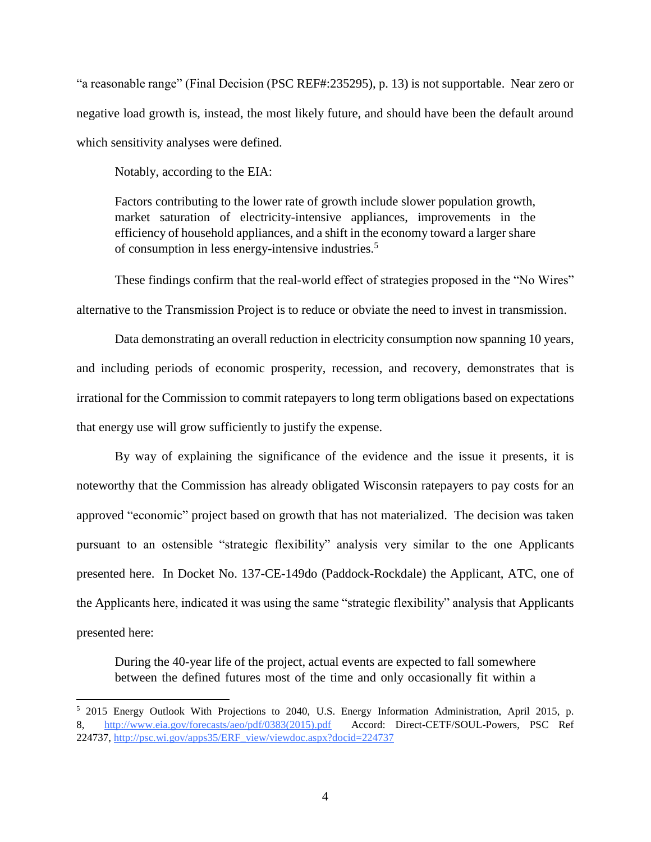"a reasonable range" (Final Decision (PSC REF#:235295), p. 13) is not supportable. Near zero or negative load growth is, instead, the most likely future, and should have been the default around which sensitivity analyses were defined.

Notably, according to the EIA:

 $\overline{\phantom{a}}$ 

Factors contributing to the lower rate of growth include slower population growth, market saturation of electricity-intensive appliances, improvements in the efficiency of household appliances, and a shift in the economy toward a larger share of consumption in less energy-intensive industries.<sup>5</sup>

These findings confirm that the real-world effect of strategies proposed in the "No Wires" alternative to the Transmission Project is to reduce or obviate the need to invest in transmission.

Data demonstrating an overall reduction in electricity consumption now spanning 10 years, and including periods of economic prosperity, recession, and recovery, demonstrates that is irrational for the Commission to commit ratepayers to long term obligations based on expectations that energy use will grow sufficiently to justify the expense.

By way of explaining the significance of the evidence and the issue it presents, it is noteworthy that the Commission has already obligated Wisconsin ratepayers to pay costs for an approved "economic" project based on growth that has not materialized. The decision was taken pursuant to an ostensible "strategic flexibility" analysis very similar to the one Applicants presented here. In Docket No. 137-CE-149do (Paddock-Rockdale) the Applicant, ATC, one of the Applicants here, indicated it was using the same "strategic flexibility" analysis that Applicants presented here:

During the 40-year life of the project, actual events are expected to fall somewhere between the defined futures most of the time and only occasionally fit within a

<sup>5</sup> 2015 Energy Outlook With Projections to 2040, U.S. Energy Information Administration, April 2015, p. 8, [http://www.eia.gov/forecasts/aeo/pdf/0383\(2015\).pdf](http://www.eia.gov/forecasts/aeo/pdf/0383(2015).pdf) Accord: Direct-CETF/SOUL-Powers, PSC Ref 224737, [http://psc.wi.gov/apps35/ERF\\_view/viewdoc.aspx?docid=224737](http://psc.wi.gov/apps35/ERF_view/viewdoc.aspx?docid=224737)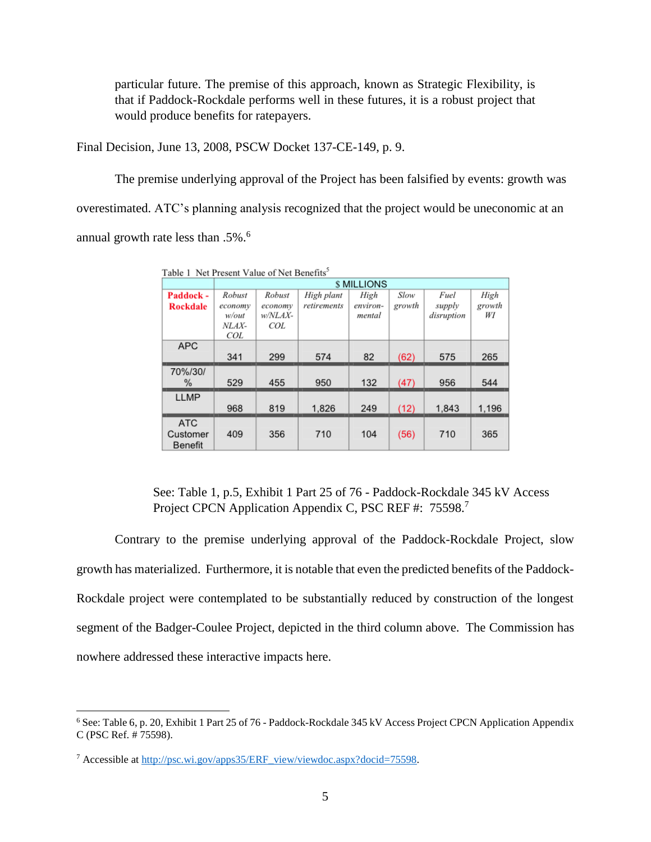particular future. The premise of this approach, known as Strategic Flexibility, is that if Paddock-Rockdale performs well in these futures, it is a robust project that would produce benefits for ratepayers.

Final Decision, June 13, 2008, PSCW Docket 137-CE-149, p. 9.

The premise underlying approval of the Project has been falsified by events: growth was overestimated. ATC's planning analysis recognized that the project would be uneconomic at an annual growth rate less than .5%.<sup>6</sup>

|                 | <b>S MILLIONS</b> |         |             |          |        |            |        |
|-----------------|-------------------|---------|-------------|----------|--------|------------|--------|
| Paddock -       | Robust            | Robust  | High plant  | High     | Slow   | Fuel       | High   |
| <b>Rockdale</b> | economy           | economy | retirements | environ- | growth | supply     | growth |
|                 | w/out             | w/NLAX- |             | mental   |        | disruption | WI     |
|                 | NLAX-             | COL.    |             |          |        |            |        |
|                 | COL               |         |             |          |        |            |        |
| <b>APC</b>      |                   |         |             |          |        |            |        |
|                 | 341               | 299     | 574         | 82       | (62)   | 575        | 265    |
| 70%/30/         |                   |         |             |          |        |            |        |
| ℅               | 529               | 455     | 950         | 132      | (47)   | 956        | 544    |
| <b>LLMP</b>     |                   |         |             |          |        |            |        |
|                 | 968               | 819     | 1,826       | 249      | (12)   | 1,843      | 1,196  |
| <b>ATC</b>      |                   |         |             |          |        |            |        |
| Customer        | 409               | 356     | 710         | 104      | (56)   | 710        | 365    |
| <b>Benefit</b>  |                   |         |             |          |        |            |        |

Table 1 Net Present Value of Net Benefits<sup>5</sup>

See: Table 1, p.5, Exhibit 1 Part 25 of 76 - Paddock-Rockdale 345 kV Access Project CPCN Application Appendix C, PSC REF #: 75598.7

Contrary to the premise underlying approval of the Paddock-Rockdale Project, slow growth has materialized. Furthermore, it is notable that even the predicted benefits of the Paddock-Rockdale project were contemplated to be substantially reduced by construction of the longest segment of the Badger-Coulee Project, depicted in the third column above. The Commission has nowhere addressed these interactive impacts here.

 $\overline{\phantom{a}}$ 

<sup>&</sup>lt;sup>6</sup> See: Table 6, p. 20, Exhibit 1 Part 25 of 76 - Paddock-Rockdale 345 kV Access Project CPCN Application Appendix C (PSC Ref. # 75598).

<sup>7</sup> Accessible at [http://psc.wi.gov/apps35/ERF\\_view/viewdoc.aspx?docid=75598.](http://psc.wi.gov/apps35/ERF_view/viewdoc.aspx?docid=75598)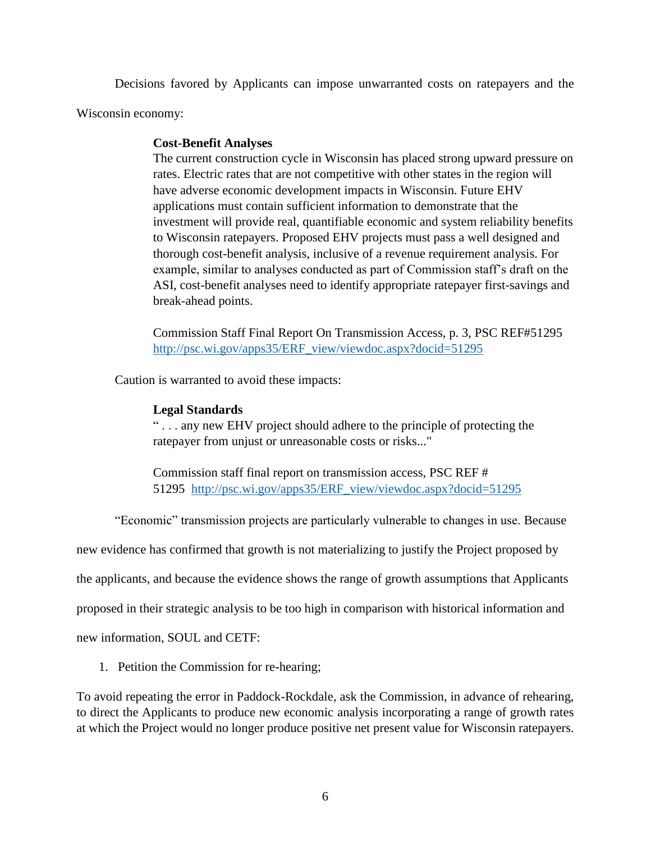Decisions favored by Applicants can impose unwarranted costs on ratepayers and the

Wisconsin economy:

## **Cost-Benefit Analyses**

The current construction cycle in Wisconsin has placed strong upward pressure on rates. Electric rates that are not competitive with other states in the region will have adverse economic development impacts in Wisconsin. Future EHV applications must contain sufficient information to demonstrate that the investment will provide real, quantifiable economic and system reliability benefits to Wisconsin ratepayers. Proposed EHV projects must pass a well designed and thorough cost-benefit analysis, inclusive of a revenue requirement analysis. For example, similar to analyses conducted as part of Commission staff's draft on the ASI, cost-benefit analyses need to identify appropriate ratepayer first-savings and break-ahead points.

Commission Staff Final Report On Transmission Access, p. 3, PSC REF#51295 [http://psc.wi.gov/apps35/ERF\\_view/viewdoc.aspx?docid=51295](http://psc.wi.gov/apps35/ERF_view/viewdoc.aspx?docid=51295)

Caution is warranted to avoid these impacts:

# **Legal Standards**

" . . . any new EHV project should adhere to the principle of protecting the ratepayer from unjust or unreasonable costs or risks..."

Commission staff final report on transmission access, PSC REF # 51295 [http://psc.wi.gov/apps35/ERF\\_view/viewdoc.aspx?docid=51295](http://psc.wi.gov/apps35/ERF_view/viewdoc.aspx?docid=51295)

"Economic" transmission projects are particularly vulnerable to changes in use. Because

new evidence has confirmed that growth is not materializing to justify the Project proposed by

the applicants, and because the evidence shows the range of growth assumptions that Applicants

proposed in their strategic analysis to be too high in comparison with historical information and

new information, SOUL and CETF:

1. Petition the Commission for re-hearing;

To avoid repeating the error in Paddock-Rockdale, ask the Commission, in advance of rehearing, to direct the Applicants to produce new economic analysis incorporating a range of growth rates at which the Project would no longer produce positive net present value for Wisconsin ratepayers.